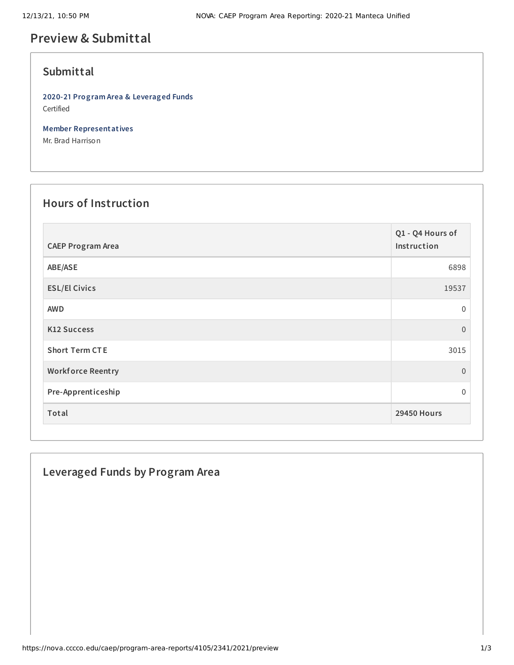# **Preview & Submittal**

## **Submittal**

**2020-21 Program Area & Leveraged Funds** Certified

**Member Representatives**

Mr. Brad Harrison

## **Hours of Instruction**

| <b>CAEP Program Area</b> | Q1 - Q4 Hours of<br>Instruction |
|--------------------------|---------------------------------|
| ABE/ASE                  | 6898                            |
| <b>ESL/El Civics</b>     | 19537                           |
| <b>AWD</b>               | 0                               |
| <b>K12 Success</b>       | $\overline{0}$                  |
| <b>Short Term CTE</b>    | 3015                            |
| <b>Workforce Reentry</b> | $\overline{0}$                  |
| Pre-Apprenticeship       | 0                               |
| Total                    | <b>29450 Hours</b>              |

## **Leveraged Funds by Program Area**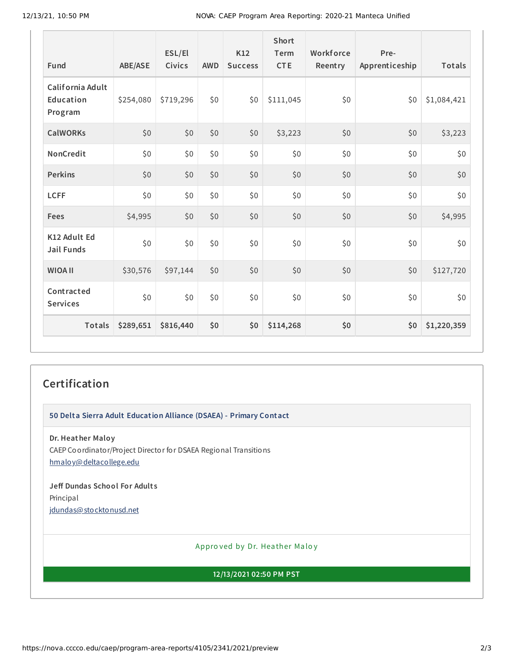| Fund                                     | <b>ABE/ASE</b> | ESL/El<br>Civics | <b>AWD</b> | <b>K12</b><br><b>Success</b> | <b>Short</b><br>Term<br><b>CTE</b> | Workforce<br>Reentry | Pre-<br>Apprenticeship | <b>Totals</b> |
|------------------------------------------|----------------|------------------|------------|------------------------------|------------------------------------|----------------------|------------------------|---------------|
| California Adult<br>Education<br>Program | \$254,080      | \$719,296        | \$0        | \$0                          | \$111,045                          | \$0                  | \$0                    | \$1,084,421   |
| <b>CalWORKs</b>                          | \$0            | \$0              | \$0        | \$0                          | \$3,223                            | \$0                  | \$0                    | \$3,223       |
| NonCredit                                | \$0            | \$0              | \$0        | \$0                          | \$0                                | \$0                  | \$0                    | \$0           |
| <b>Perkins</b>                           | \$0            | \$0              | \$0        | \$0                          | \$0                                | \$0                  | \$0                    | \$0           |
| <b>LCFF</b>                              | \$0            | \$0              | \$0        | \$0                          | \$0                                | \$0                  | \$0                    | \$0           |
| <b>Fees</b>                              | \$4,995        | \$0              | \$0        | \$0                          | \$0                                | \$0                  | \$0                    | \$4,995       |
| K12 Adult Ed<br><b>Jail Funds</b>        | \$0            | \$0              | \$0        | \$0                          | \$0                                | \$0                  | \$0                    | \$0\$         |
| <b>WIOA II</b>                           | \$30,576       | \$97,144         | \$0        | \$0                          | \$0                                | \$0                  | \$0                    | \$127,720     |
| Contracted<br><b>Services</b>            | \$0            | \$0              | \$0\$      | \$0                          | \$0                                | \$0                  | \$0                    | \$0\$         |
| Totals                                   | \$289,651      | \$816,440        | \$0        | \$0                          | \$114,268                          | \$0                  | \$0                    | \$1,220,359   |

#### **Certification**

**50 Delta Sierra Adult Education Alliance (DSAEA) - Primary Contact**

**Dr. Heather Maloy** CAEP Coordinator/Project Director for DSAEA Regional Transitions [hmaloy@deltacollege.edu](mailto:hmaloy@deltacollege.edu)

**Jeff Dundas School For Adult s** Principal [jdundas@stocktonusd.net](mailto:jdundas@stocktonusd.net)

Appro ved by Dr. Heather Maloy

**12/13/2021 02:50 PM PST**